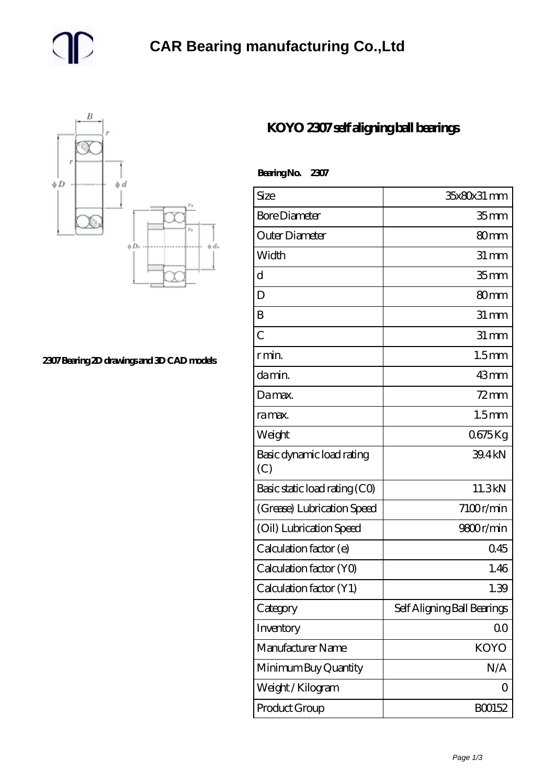



**[2307 Bearing 2D drawings and 3D CAD models](https://m.gmgyb.com/pic-47657.html)**

## **[KOYO 2307 self aligning ball bearings](https://m.gmgyb.com/am-47657-koyo-2307-self-aligning-ball-bearings.html)**

 **Bearing No. 2307**

| Size                             | 35x80x31 mm                 |
|----------------------------------|-----------------------------|
| <b>Bore Diameter</b>             | 35 <sub>mm</sub>            |
| Outer Diameter                   | 80mm                        |
| Width                            | $31 \, \text{mm}$           |
| d                                | 35 <sub>mm</sub>            |
| D                                | 80 <sub>mm</sub>            |
| B                                | $31 \,\mathrm{mm}$          |
| $\overline{C}$                   | $31 \,\mathrm{mm}$          |
| r min.                           | 1.5 <sub>mm</sub>           |
| da min.                          | 43mm                        |
| Damax.                           | $72$ mm                     |
| ra max.                          | 1.5 <sub>mm</sub>           |
| Weight                           | 0675Kg                      |
| Basic dynamic load rating<br>(C) | 39.4kN                      |
| Basic static load rating (CO)    | 11.3kN                      |
| (Grease) Lubrication Speed       | 7100r/min                   |
| (Oil) Lubrication Speed          | 9800r/min                   |
| Calculation factor (e)           | 0.45                        |
| Calculation factor (YO)          | 1.46                        |
| Calculation factor (Y1)          | 1.39                        |
| Category                         | Self Aligning Ball Bearings |
| Inventory                        | 0 <sup>0</sup>              |
| Manufacturer Name                | <b>KOYO</b>                 |
| Minimum Buy Quantity             | N/A                         |
| Weight / Kilogram                | ( )                         |
| Product Group                    | BO0152                      |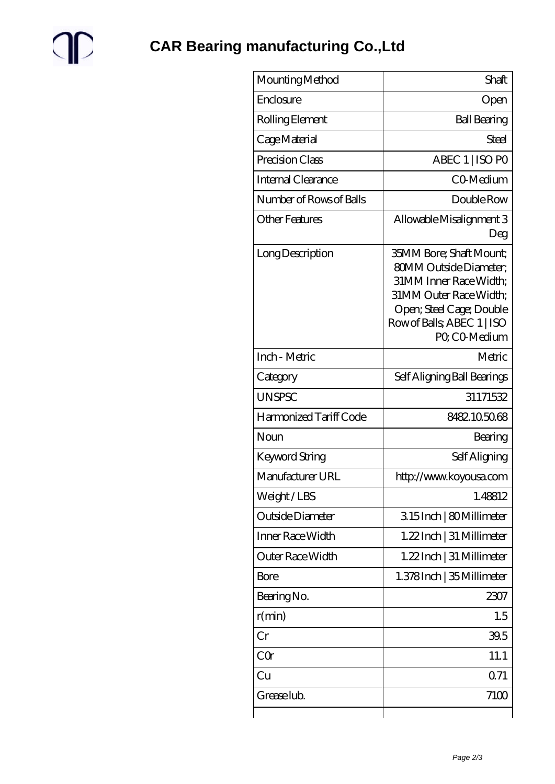

| Mounting Method         | Shaft                                                                                                                                                                                         |
|-------------------------|-----------------------------------------------------------------------------------------------------------------------------------------------------------------------------------------------|
| Enclosure               | Open                                                                                                                                                                                          |
| Rolling Element         | <b>Ball Bearing</b>                                                                                                                                                                           |
| Cage Material           | Steel                                                                                                                                                                                         |
| Precision Class         | ABEC 1   ISO PO                                                                                                                                                                               |
| Internal Clearance      | CO-Medium                                                                                                                                                                                     |
| Number of Rows of Balls | Double Row                                                                                                                                                                                    |
| <b>Other Features</b>   | Allowable Misalignment 3<br>Deg                                                                                                                                                               |
| Long Description        | <b>35MM Bore; Shaft Mount;</b><br><b>80MM Outside Diameter,</b><br>31MM Inner Race Width:<br>31MM Outer Race Width:<br>Open; Steel Cage; Double<br>Row of Balls, ABEC 1   ISO<br>PQ CO-Medium |
| Inch - Metric           | Metric                                                                                                                                                                                        |
| Category                | Self Aligning Ball Bearings                                                                                                                                                                   |
| <b>UNSPSC</b>           | 31171532                                                                                                                                                                                      |
| Harmonized Tariff Code  | 8482105068                                                                                                                                                                                    |
| Noun                    | Bearing                                                                                                                                                                                       |
| Keyword String          | Self Aligning                                                                                                                                                                                 |
| Manufacturer URL        | http://www.koyousa.com                                                                                                                                                                        |
| Weight/LBS              | 1.48812                                                                                                                                                                                       |
| Outside Diameter        | 315Inch   80Millimeter                                                                                                                                                                        |
| Inner Race Width        | 1.22Inch   31 Millimeter                                                                                                                                                                      |
| Outer Race Width        | 1.22 Inch   31 Millimeter                                                                                                                                                                     |
| <b>Bore</b>             | 1.378Inch   35 Millimeter                                                                                                                                                                     |
| Bearing No.             | 2307                                                                                                                                                                                          |
| r(min)                  | 1.5                                                                                                                                                                                           |
| Cr                      | 39.5                                                                                                                                                                                          |
| CQr                     | 11.1                                                                                                                                                                                          |
| Cu                      | 0.71                                                                                                                                                                                          |
| Grease lub.             | 7100                                                                                                                                                                                          |
|                         |                                                                                                                                                                                               |